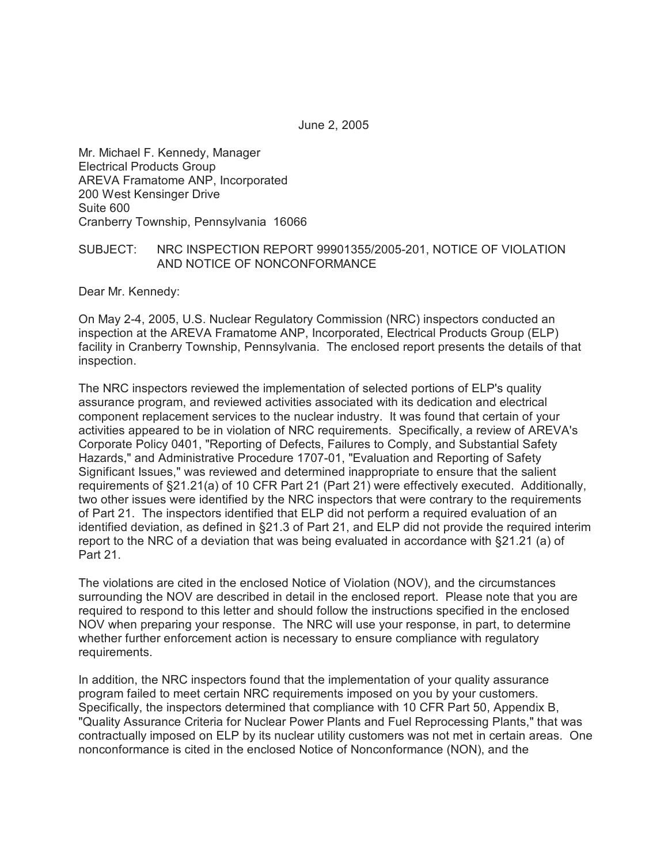Mr. Michael F. Kennedy, Manager Electrical Products Group AREVA Framatome ANP, Incorporated 200 West Kensinger Drive Suite 600 Cranberry Township, Pennsylvania 16066

## SUBJECT: NRC INSPECTION REPORT 99901355/2005-201, NOTICE OF VIOLATION AND NOTICE OF NONCONFORMANCE

Dear Mr. Kennedy:

On May 2-4, 2005, U.S. Nuclear Regulatory Commission (NRC) inspectors conducted an inspection at the AREVA Framatome ANP, Incorporated, Electrical Products Group (ELP) facility in Cranberry Township, Pennsylvania. The enclosed report presents the details of that inspection.

The NRC inspectors reviewed the implementation of selected portions of ELP's quality assurance program, and reviewed activities associated with its dedication and electrical component replacement services to the nuclear industry. It was found that certain of your activities appeared to be in violation of NRC requirements. Specifically, a review of AREVA's Corporate Policy 0401, "Reporting of Defects, Failures to Comply, and Substantial Safety Hazards," and Administrative Procedure 1707-01, "Evaluation and Reporting of Safety Significant Issues," was reviewed and determined inappropriate to ensure that the salient requirements of §21.21(a) of 10 CFR Part 21 (Part 21) were effectively executed. Additionally, two other issues were identified by the NRC inspectors that were contrary to the requirements of Part 21. The inspectors identified that ELP did not perform a required evaluation of an identified deviation, as defined in §21.3 of Part 21, and ELP did not provide the required interim report to the NRC of a deviation that was being evaluated in accordance with §21.21 (a) of Part 21.

The violations are cited in the enclosed Notice of Violation (NOV), and the circumstances surrounding the NOV are described in detail in the enclosed report. Please note that you are required to respond to this letter and should follow the instructions specified in the enclosed NOV when preparing your response. The NRC will use your response, in part, to determine whether further enforcement action is necessary to ensure compliance with regulatory requirements.

In addition, the NRC inspectors found that the implementation of your quality assurance program failed to meet certain NRC requirements imposed on you by your customers. Specifically, the inspectors determined that compliance with 10 CFR Part 50, Appendix B, "Quality Assurance Criteria for Nuclear Power Plants and Fuel Reprocessing Plants," that was contractually imposed on ELP by its nuclear utility customers was not met in certain areas. One nonconformance is cited in the enclosed Notice of Nonconformance (NON), and the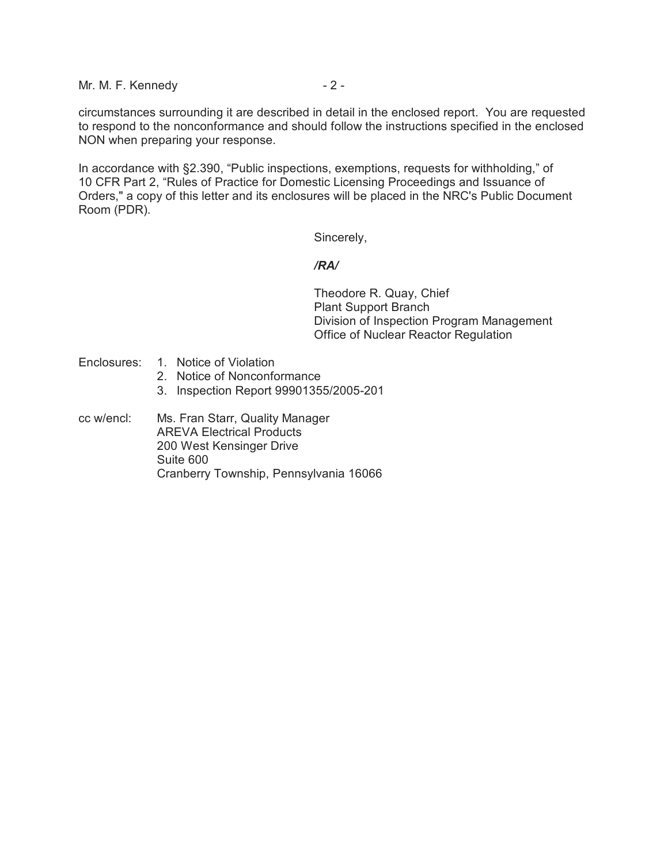Mr. M. F. Kennedy  $-2$  -

circumstances surrounding it are described in detail in the enclosed report. You are requested to respond to the nonconformance and should follow the instructions specified in the enclosed NON when preparing your response.

In accordance with §2.390, "Public inspections, exemptions, requests for withholding," of 10 CFR Part 2, "Rules of Practice for Domestic Licensing Proceedings and Issuance of Orders," a copy of this letter and its enclosures will be placed in the NRC's Public Document Room (PDR).

Sincerely,

#### */RA/*

Theodore R. Quay, Chief Plant Support Branch Division of Inspection Program Management Office of Nuclear Reactor Regulation

- Enclosures: 1. Notice of Violation
	- 2. Notice of Nonconformance
	- 3. Inspection Report 99901355/2005-201
- cc w/encl: Ms. Fran Starr, Quality Manager AREVA Electrical Products 200 West Kensinger Drive Suite 600 Cranberry Township, Pennsylvania 16066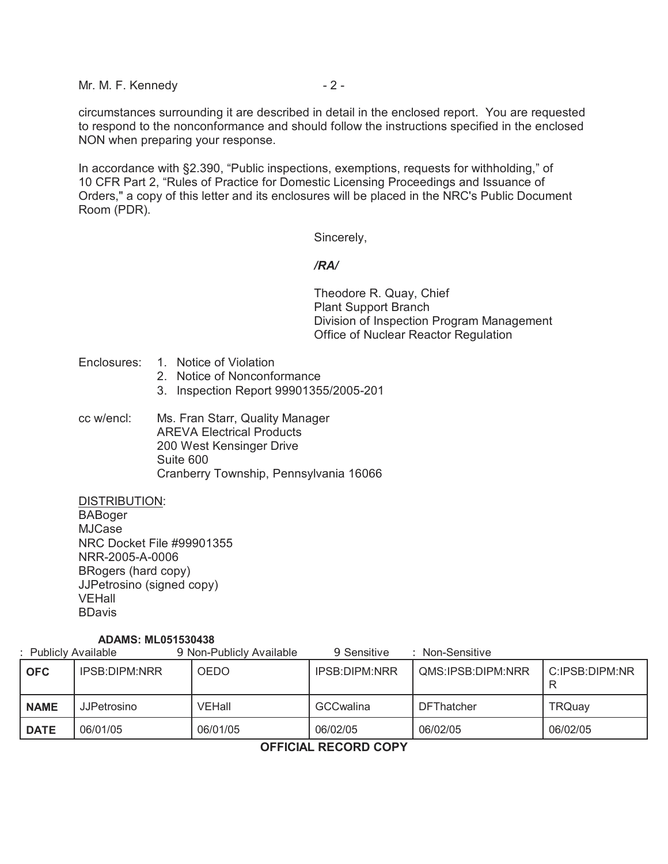Mr. M. F. Kennedy - 2 -

circumstances surrounding it are described in detail in the enclosed report. You are requested to respond to the nonconformance and should follow the instructions specified in the enclosed NON when preparing your response.

In accordance with §2.390, "Public inspections, exemptions, requests for withholding," of 10 CFR Part 2, "Rules of Practice for Domestic Licensing Proceedings and Issuance of Orders," a copy of this letter and its enclosures will be placed in the NRC's Public Document Room (PDR).

Sincerely,

## */RA/*

Theodore R. Quay, Chief Plant Support Branch Division of Inspection Program Management Office of Nuclear Reactor Regulation

- Enclosures: 1. Notice of Violation
	- 2. Notice of Nonconformance
	- 3. Inspection Report 99901355/2005-201
- cc w/encl: Ms. Fran Starr, Quality Manager AREVA Electrical Products 200 West Kensinger Drive Suite 600 Cranberry Township, Pennsylvania 16066

DISTRIBUTION: BABoger MJCase NRC Docket File #99901355 NRR-2005-A-0006 BRogers (hard copy) JJPetrosino (signed copy) VEHall BDavis

#### **ADAMS: ML051530438**

| Publicly Available |               | 9 Non-Publicly Available<br>Non-Sensitive<br>9 Sensitive |                      |                   |                |
|--------------------|---------------|----------------------------------------------------------|----------------------|-------------------|----------------|
| <b>OFC</b>         | IPSB:DIPM:NRR | <b>OEDO</b>                                              | <b>IPSB:DIPM:NRR</b> | QMS:IPSB:DIPM:NRR | C:IPSB:DIPM:NR |
| <b>NAME</b>        | JJPetrosino   | VEHall                                                   | <b>GCCwalina</b>     | <b>DFThatcher</b> | <b>TRQuay</b>  |
| <b>DATE</b>        | 06/01/05      | 06/01/05                                                 | 06/02/05             | 06/02/05          | 06/02/05       |

**OFFICIAL RECORD COPY**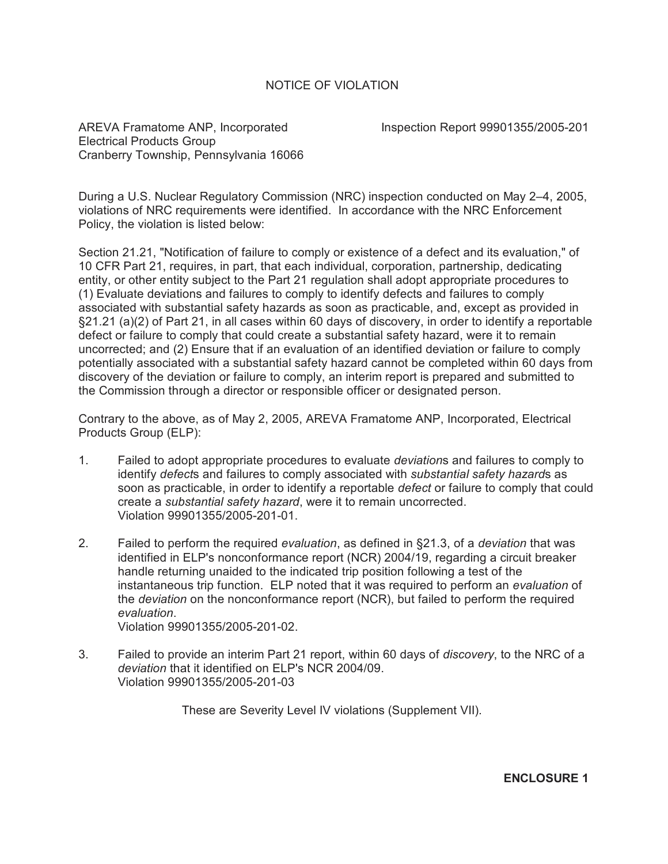# NOTICE OF VIOLATION

AREVA Framatome ANP, Incorporated **Inspection Report 99901355/2005-201** Electrical Products Group Cranberry Township, Pennsylvania 16066

During a U.S. Nuclear Regulatory Commission (NRC) inspection conducted on May 2–4, 2005, violations of NRC requirements were identified. In accordance with the NRC Enforcement Policy, the violation is listed below:

Section 21.21, "Notification of failure to comply or existence of a defect and its evaluation," of 10 CFR Part 21, requires, in part, that each individual, corporation, partnership, dedicating entity, or other entity subject to the Part 21 regulation shall adopt appropriate procedures to (1) Evaluate deviations and failures to comply to identify defects and failures to comply associated with substantial safety hazards as soon as practicable, and, except as provided in §21.21 (a)(2) of Part 21, in all cases within 60 days of discovery, in order to identify a reportable defect or failure to comply that could create a substantial safety hazard, were it to remain uncorrected; and (2) Ensure that if an evaluation of an identified deviation or failure to comply potentially associated with a substantial safety hazard cannot be completed within 60 days from discovery of the deviation or failure to comply, an interim report is prepared and submitted to the Commission through a director or responsible officer or designated person.

Contrary to the above, as of May 2, 2005, AREVA Framatome ANP, Incorporated, Electrical Products Group (ELP):

- 1. Failed to adopt appropriate procedures to evaluate *deviation*s and failures to comply to identify *defect*s and failures to comply associated with *substantial safety hazard*s as soon as practicable, in order to identify a reportable *defect* or failure to comply that could create a *substantial safety hazard*, were it to remain uncorrected. Violation 99901355/2005-201-01.
- 2. Failed to perform the required *evaluation*, as defined in §21.3, of a *deviation* that was identified in ELP's nonconformance report (NCR) 2004/19, regarding a circuit breaker handle returning unaided to the indicated trip position following a test of the instantaneous trip function. ELP noted that it was required to perform an *evaluation* of the *deviation* on the nonconformance report (NCR), but failed to perform the required *evaluation*. Violation 99901355/2005-201-02.

3. Failed to provide an interim Part 21 report, within 60 days of *discovery*, to the NRC of a *deviation* that it identified on ELP's NCR 2004/09.

Violation 99901355/2005-201-03

These are Severity Level IV violations (Supplement VII).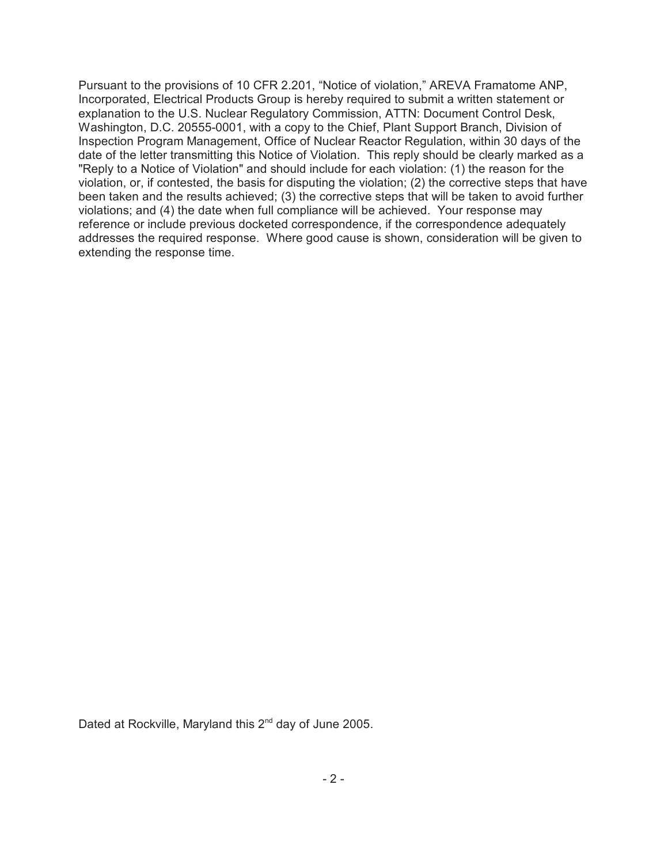Pursuant to the provisions of 10 CFR 2.201, "Notice of violation," AREVA Framatome ANP, Incorporated, Electrical Products Group is hereby required to submit a written statement or explanation to the U.S. Nuclear Regulatory Commission, ATTN: Document Control Desk, Washington, D.C. 20555-0001, with a copy to the Chief, Plant Support Branch, Division of Inspection Program Management, Office of Nuclear Reactor Regulation, within 30 days of the date of the letter transmitting this Notice of Violation. This reply should be clearly marked as a "Reply to a Notice of Violation" and should include for each violation: (1) the reason for the violation, or, if contested, the basis for disputing the violation; (2) the corrective steps that have been taken and the results achieved; (3) the corrective steps that will be taken to avoid further violations; and (4) the date when full compliance will be achieved. Your response may reference or include previous docketed correspondence, if the correspondence adequately addresses the required response. Where good cause is shown, consideration will be given to extending the response time.

Dated at Rockville, Maryland this 2<sup>nd</sup> day of June 2005.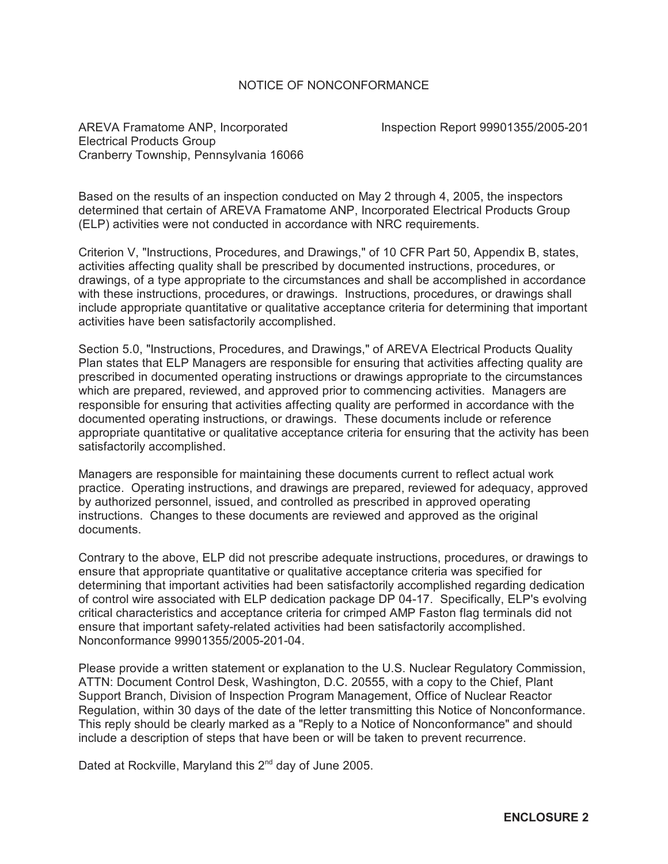## NOTICE OF NONCONFORMANCE

AREVA Framatome ANP, Incorporated **Inspection Report 99901355/2005-201** Electrical Products Group Cranberry Township, Pennsylvania 16066

Based on the results of an inspection conducted on May 2 through 4, 2005, the inspectors determined that certain of AREVA Framatome ANP, Incorporated Electrical Products Group (ELP) activities were not conducted in accordance with NRC requirements.

Criterion V, "Instructions, Procedures, and Drawings," of 10 CFR Part 50, Appendix B, states, activities affecting quality shall be prescribed by documented instructions, procedures, or drawings, of a type appropriate to the circumstances and shall be accomplished in accordance with these instructions, procedures, or drawings. Instructions, procedures, or drawings shall include appropriate quantitative or qualitative acceptance criteria for determining that important activities have been satisfactorily accomplished.

Section 5.0, "Instructions, Procedures, and Drawings," of AREVA Electrical Products Quality Plan states that ELP Managers are responsible for ensuring that activities affecting quality are prescribed in documented operating instructions or drawings appropriate to the circumstances which are prepared, reviewed, and approved prior to commencing activities. Managers are responsible for ensuring that activities affecting quality are performed in accordance with the documented operating instructions, or drawings. These documents include or reference appropriate quantitative or qualitative acceptance criteria for ensuring that the activity has been satisfactorily accomplished.

Managers are responsible for maintaining these documents current to reflect actual work practice. Operating instructions, and drawings are prepared, reviewed for adequacy, approved by authorized personnel, issued, and controlled as prescribed in approved operating instructions. Changes to these documents are reviewed and approved as the original documents.

Contrary to the above, ELP did not prescribe adequate instructions, procedures, or drawings to ensure that appropriate quantitative or qualitative acceptance criteria was specified for determining that important activities had been satisfactorily accomplished regarding dedication of control wire associated with ELP dedication package DP 04-17. Specifically, ELP's evolving critical characteristics and acceptance criteria for crimped AMP Faston flag terminals did not ensure that important safety-related activities had been satisfactorily accomplished. Nonconformance 99901355/2005-201-04.

Please provide a written statement or explanation to the U.S. Nuclear Regulatory Commission, ATTN: Document Control Desk, Washington, D.C. 20555, with a copy to the Chief, Plant Support Branch, Division of Inspection Program Management, Office of Nuclear Reactor Regulation, within 30 days of the date of the letter transmitting this Notice of Nonconformance. This reply should be clearly marked as a "Reply to a Notice of Nonconformance" and should include a description of steps that have been or will be taken to prevent recurrence.

Dated at Rockville, Maryland this 2<sup>nd</sup> day of June 2005.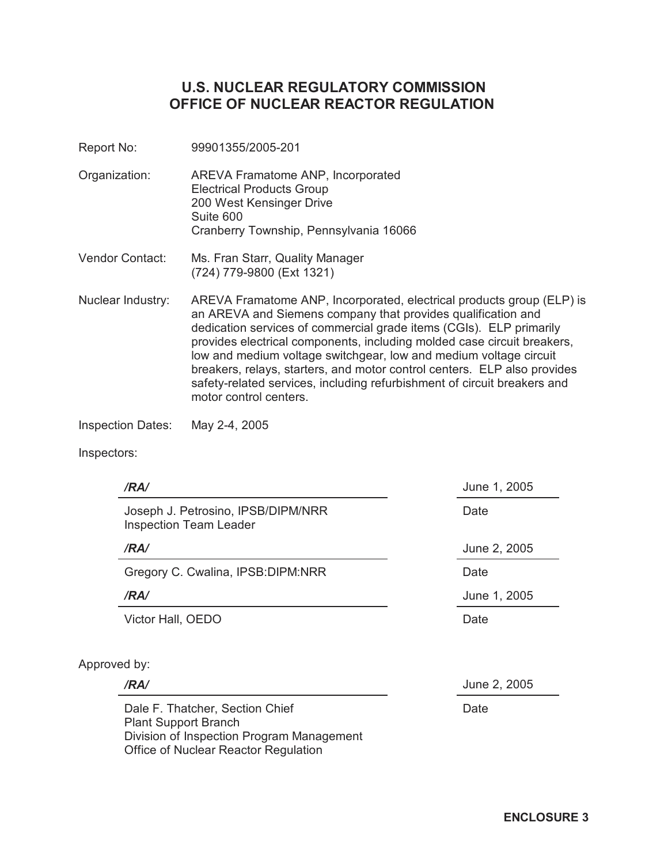# **U.S. NUCLEAR REGULATORY COMMISSION OFFICE OF NUCLEAR REACTOR REGULATION**

- Report No: 99901355/2005-201
- Organization: AREVA Framatome ANP, Incorporated Electrical Products Group 200 West Kensinger Drive Suite 600 Cranberry Township, Pennsylvania 16066
- Vendor Contact: Ms. Fran Starr, Quality Manager (724) 779-9800 (Ext 1321)
- Nuclear Industry: AREVA Framatome ANP, Incorporated, electrical products group (ELP) is an AREVA and Siemens company that provides qualification and dedication services of commercial grade items (CGIs). ELP primarily provides electrical components, including molded case circuit breakers, low and medium voltage switchgear, low and medium voltage circuit breakers, relays, starters, and motor control centers. ELP also provides safety-related services, including refurbishment of circuit breakers and motor control centers.

Inspection Dates: May 2-4, 2005

Plant Support Branch

Division of Inspection Program Management

Office of Nuclear Reactor Regulation

Inspectors:

| /RA/                                                                | June 1, 2005 |
|---------------------------------------------------------------------|--------------|
| Joseph J. Petrosino, IPSB/DIPM/NRR<br><b>Inspection Team Leader</b> | Date         |
| /RA/                                                                | June 2, 2005 |
| Gregory C. Cwalina, IPSB: DIPM: NRR                                 | Date         |
| /RA/                                                                | June 1, 2005 |
| Victor Hall, OEDO                                                   | Date         |
| Approved by:                                                        |              |
| /RA/                                                                | June 2, 2005 |
| Dale F. Thatcher, Section Chief                                     | Date         |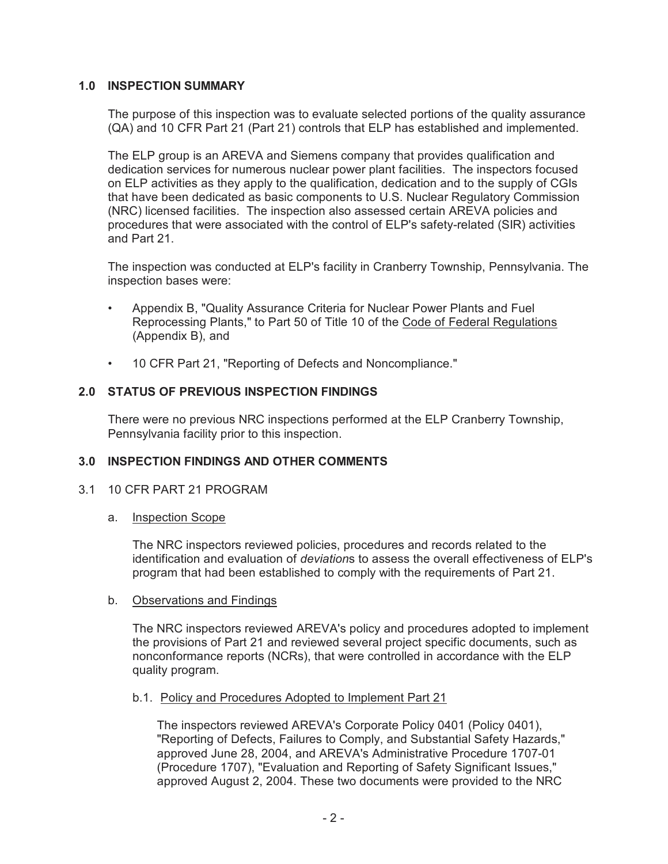# **1.0 INSPECTION SUMMARY**

The purpose of this inspection was to evaluate selected portions of the quality assurance (QA) and 10 CFR Part 21 (Part 21) controls that ELP has established and implemented.

The ELP group is an AREVA and Siemens company that provides qualification and dedication services for numerous nuclear power plant facilities. The inspectors focused on ELP activities as they apply to the qualification, dedication and to the supply of CGIs that have been dedicated as basic components to U.S. Nuclear Regulatory Commission (NRC) licensed facilities. The inspection also assessed certain AREVA policies and procedures that were associated with the control of ELP's safety-related (SIR) activities and Part 21.

The inspection was conducted at ELP's facility in Cranberry Township, Pennsylvania. The inspection bases were:

- Appendix B, "Quality Assurance Criteria for Nuclear Power Plants and Fuel Reprocessing Plants," to Part 50 of Title 10 of the Code of Federal Regulations (Appendix B), and
- 10 CFR Part 21, "Reporting of Defects and Noncompliance."

# **2.0 STATUS OF PREVIOUS INSPECTION FINDINGS**

There were no previous NRC inspections performed at the ELP Cranberry Township, Pennsylvania facility prior to this inspection.

#### **3.0 INSPECTION FINDINGS AND OTHER COMMENTS**

#### 3.1 10 CFR PART 21 PROGRAM

a. Inspection Scope

The NRC inspectors reviewed policies, procedures and records related to the identification and evaluation of *deviation*s to assess the overall effectiveness of ELP's program that had been established to comply with the requirements of Part 21.

#### b. Observations and Findings

The NRC inspectors reviewed AREVA's policy and procedures adopted to implement the provisions of Part 21 and reviewed several project specific documents, such as nonconformance reports (NCRs), that were controlled in accordance with the ELP quality program.

#### b.1. Policy and Procedures Adopted to Implement Part 21

The inspectors reviewed AREVA's Corporate Policy 0401 (Policy 0401), "Reporting of Defects, Failures to Comply, and Substantial Safety Hazards," approved June 28, 2004, and AREVA's Administrative Procedure 1707-01 (Procedure 1707), "Evaluation and Reporting of Safety Significant Issues," approved August 2, 2004. These two documents were provided to the NRC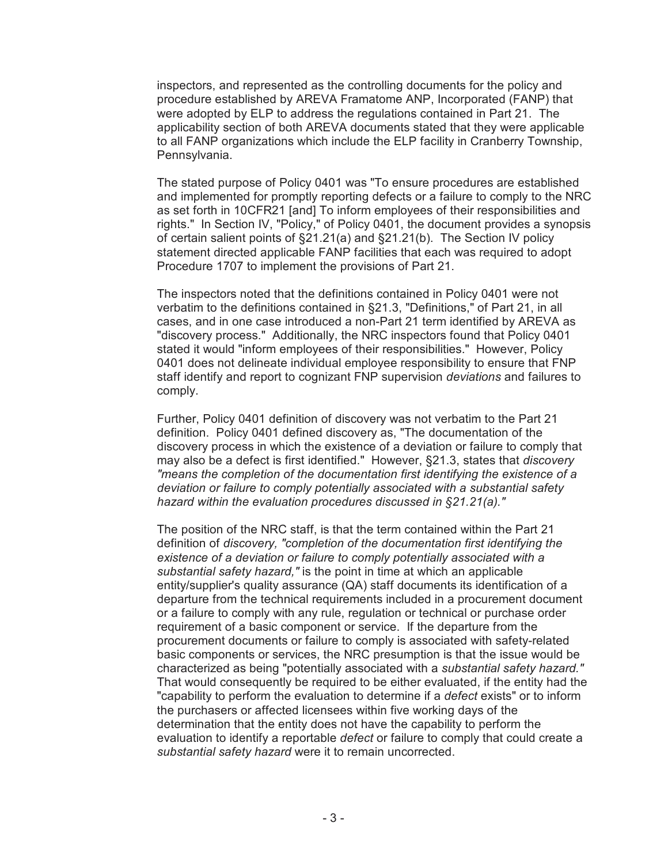inspectors, and represented as the controlling documents for the policy and procedure established by AREVA Framatome ANP, Incorporated (FANP) that were adopted by ELP to address the regulations contained in Part 21. The applicability section of both AREVA documents stated that they were applicable to all FANP organizations which include the ELP facility in Cranberry Township, Pennsylvania.

The stated purpose of Policy 0401 was "To ensure procedures are established and implemented for promptly reporting defects or a failure to comply to the NRC as set forth in 10CFR21 [and] To inform employees of their responsibilities and rights." In Section IV, "Policy," of Policy 0401, the document provides a synopsis of certain salient points of §21.21(a) and §21.21(b). The Section IV policy statement directed applicable FANP facilities that each was required to adopt Procedure 1707 to implement the provisions of Part 21.

The inspectors noted that the definitions contained in Policy 0401 were not verbatim to the definitions contained in §21.3, "Definitions," of Part 21, in all cases, and in one case introduced a non-Part 21 term identified by AREVA as "discovery process." Additionally, the NRC inspectors found that Policy 0401 stated it would "inform employees of their responsibilities." However, Policy 0401 does not delineate individual employee responsibility to ensure that FNP staff identify and report to cognizant FNP supervision *deviations* and failures to comply.

Further, Policy 0401 definition of discovery was not verbatim to the Part 21 definition. Policy 0401 defined discovery as, "The documentation of the discovery process in which the existence of a deviation or failure to comply that may also be a defect is first identified." However, §21.3, states that *discovery "means the completion of the documentation first identifying the existence of a deviation or failure to comply potentially associated with a substantial safety hazard within the evaluation procedures discussed in §21.21(a)."*

The position of the NRC staff, is that the term contained within the Part 21 definition of *discovery, "completion of the documentation first identifying the existence of a deviation or failure to comply potentially associated with a substantial safety hazard,"* is the point in time at which an applicable entity/supplier's quality assurance (QA) staff documents its identification of a departure from the technical requirements included in a procurement document or a failure to comply with any rule, regulation or technical or purchase order requirement of a basic component or service. If the departure from the procurement documents or failure to comply is associated with safety-related basic components or services, the NRC presumption is that the issue would be characterized as being "potentially associated with a *substantial safety hazard."* That would consequently be required to be either evaluated, if the entity had the "capability to perform the evaluation to determine if a *defect* exists" or to inform the purchasers or affected licensees within five working days of the determination that the entity does not have the capability to perform the evaluation to identify a reportable *defect* or failure to comply that could create a *substantial safety hazard* were it to remain uncorrected.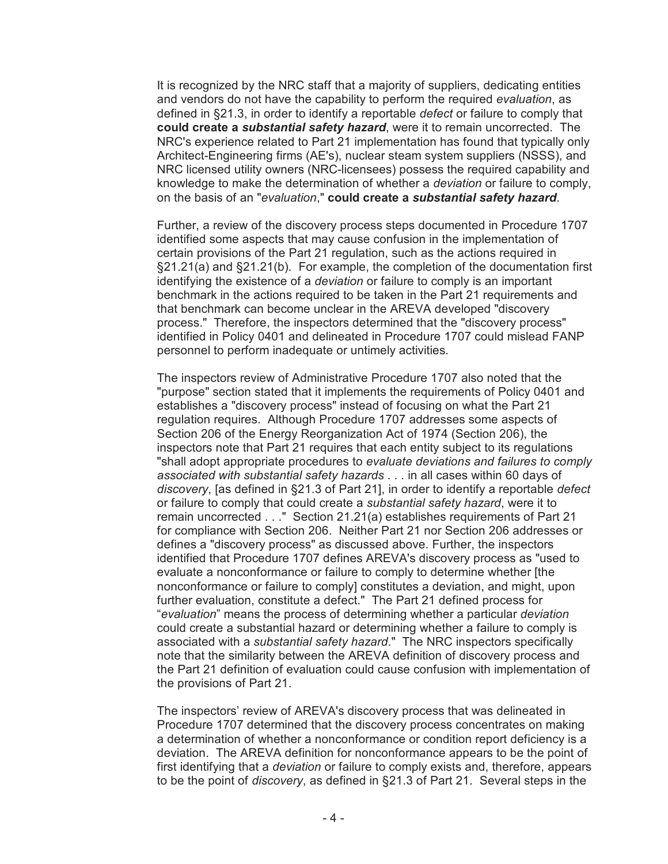It is recognized by the NRC staff that a majority of suppliers, dedicating entities and vendors do not have the capability to perform the required *evaluation*, as defined in §21.3, in order to identify a reportable *defect* or failure to comply that **could create a** *substantial safety hazard*, were it to remain uncorrected. The NRC's experience related to Part 21 implementation has found that typically only Architect-Engineering firms (AE's), nuclear steam system suppliers (NSSS), and NRC licensed utility owners (NRC-licensees) possess the required capability and knowledge to make the determination of whether a *deviation* or failure to comply, on the basis of an "*evaluation*," **could create a** *substantial safety hazard*.

Further, a review of the discovery process steps documented in Procedure 1707 identified some aspects that may cause confusion in the implementation of certain provisions of the Part 21 regulation, such as the actions required in §21.21(a) and §21.21(b). For example, the completion of the documentation first identifying the existence of a *deviation* or failure to comply is an important benchmark in the actions required to be taken in the Part 21 requirements and that benchmark can become unclear in the AREVA developed "discovery process." Therefore, the inspectors determined that the "discovery process" identified in Policy 0401 and delineated in Procedure 1707 could mislead FANP personnel to perform inadequate or untimely activities.

The inspectors review of Administrative Procedure 1707 also noted that the "purpose" section stated that it implements the requirements of Policy 0401 and establishes a "discovery process" instead of focusing on what the Part 21 regulation requires. Although Procedure 1707 addresses some aspects of Section 206 of the Energy Reorganization Act of 1974 (Section 206), the inspectors note that Part 21 requires that each entity subject to its regulations "shall adopt appropriate procedures to *evaluate deviations and failures to comply associated with substantial safety hazards* . . . in all cases within 60 days of *discovery*, [as defined in §21.3 of Part 21], in order to identify a reportable *defect* or failure to comply that could create a *substantial safety hazard*, were it to remain uncorrected . . ." Section 21.21(a) establishes requirements of Part 21 for compliance with Section 206. Neither Part 21 nor Section 206 addresses or defines a "discovery process" as discussed above. Further, the inspectors identified that Procedure 1707 defines AREVA's discovery process as "used to evaluate a nonconformance or failure to comply to determine whether [the nonconformance or failure to comply] constitutes a deviation, and might, upon further evaluation, constitute a defect." The Part 21 defined process for "*evaluation*" means the process of determining whether a particular *deviation* could create a substantial hazard or determining whether a failure to comply is associated with a *substantial safety hazard*." The NRC inspectors specifically note that the similarity between the AREVA definition of discovery process and the Part 21 definition of evaluation could cause confusion with implementation of the provisions of Part 21.

The inspectors' review of AREVA's discovery process that was delineated in Procedure 1707 determined that the discovery process concentrates on making a determination of whether a nonconformance or condition report deficiency is a deviation. The AREVA definition for nonconformance appears to be the point of first identifying that a *deviation* or failure to comply exists and, therefore, appears to be the point of *discovery*, as defined in §21.3 of Part 21. Several steps in the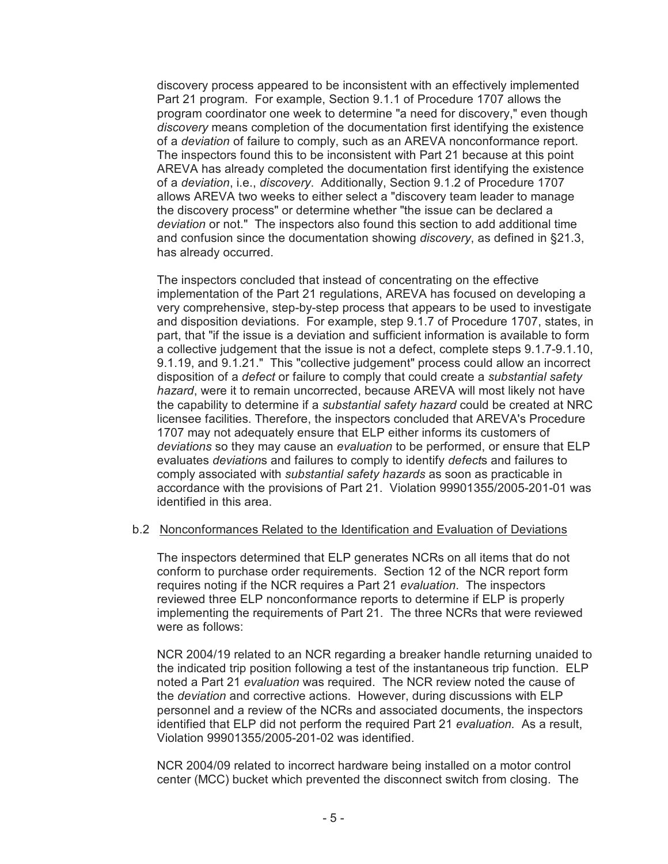discovery process appeared to be inconsistent with an effectively implemented Part 21 program. For example, Section 9.1.1 of Procedure 1707 allows the program coordinator one week to determine "a need for discovery," even though *discovery* means completion of the documentation first identifying the existence of a *deviation* of failure to comply, such as an AREVA nonconformance report. The inspectors found this to be inconsistent with Part 21 because at this point AREVA has already completed the documentation first identifying the existence of a *deviation*, i.e., *discovery*. Additionally, Section 9.1.2 of Procedure 1707 allows AREVA two weeks to either select a "discovery team leader to manage the discovery process" or determine whether "the issue can be declared a *deviation* or not." The inspectors also found this section to add additional time and confusion since the documentation showing *discovery*, as defined in §21.3, has already occurred.

The inspectors concluded that instead of concentrating on the effective implementation of the Part 21 regulations, AREVA has focused on developing a very comprehensive, step-by-step process that appears to be used to investigate and disposition deviations. For example, step 9.1.7 of Procedure 1707, states, in part, that "if the issue is a deviation and sufficient information is available to form a collective judgement that the issue is not a defect, complete steps 9.1.7-9.1.10, 9.1.19, and 9.1.21." This "collective judgement" process could allow an incorrect disposition of a *defect* or failure to comply that could create a *substantial safety hazard*, were it to remain uncorrected, because AREVA will most likely not have the capability to determine if a *substantial safety hazard* could be created at NRC licensee facilities. Therefore, the inspectors concluded that AREVA's Procedure 1707 may not adequately ensure that ELP either informs its customers of *deviations* so they may cause an *evaluation* to be performed, or ensure that ELP evaluates *deviation*s and failures to comply to identify *defect*s and failures to comply associated with *substantial safety hazards* as soon as practicable in accordance with the provisions of Part 21. Violation 99901355/2005-201-01 was identified in this area.

#### b.2 Nonconformances Related to the Identification and Evaluation of Deviations

The inspectors determined that ELP generates NCRs on all items that do not conform to purchase order requirements. Section 12 of the NCR report form requires noting if the NCR requires a Part 21 *evaluation*. The inspectors reviewed three ELP nonconformance reports to determine if ELP is properly implementing the requirements of Part 21. The three NCRs that were reviewed were as follows:

NCR 2004/19 related to an NCR regarding a breaker handle returning unaided to the indicated trip position following a test of the instantaneous trip function. ELP noted a Part 21 *evaluation* was required. The NCR review noted the cause of the *deviation* and corrective actions. However, during discussions with ELP personnel and a review of the NCRs and associated documents, the inspectors identified that ELP did not perform the required Part 21 *evaluation.* As a result, Violation 99901355/2005-201-02 was identified.

NCR 2004/09 related to incorrect hardware being installed on a motor control center (MCC) bucket which prevented the disconnect switch from closing. The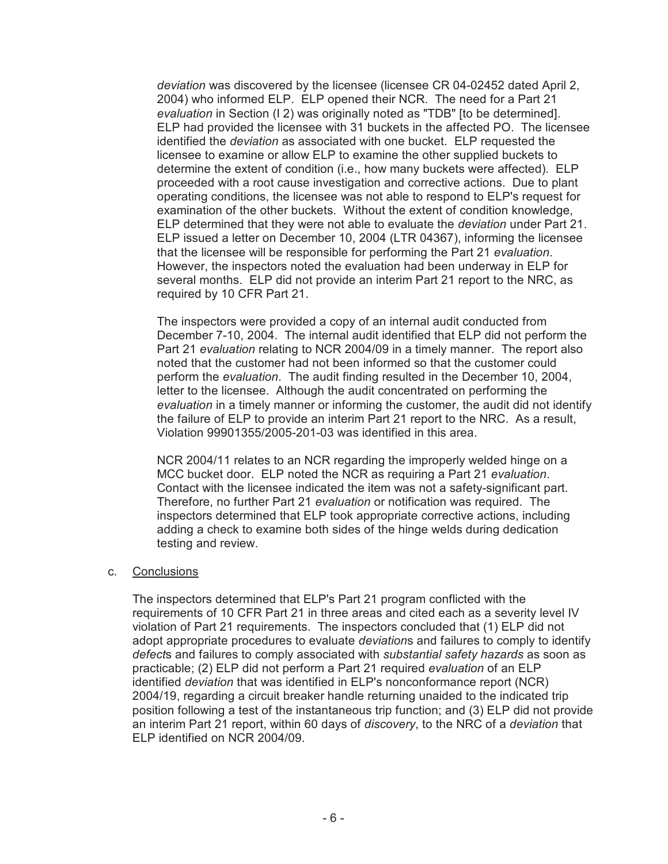*deviation* was discovered by the licensee (licensee CR 04-02452 dated April 2, 2004) who informed ELP. ELP opened their NCR. The need for a Part 21 *evaluation* in Section (I 2) was originally noted as "TDB" [to be determined]. ELP had provided the licensee with 31 buckets in the affected PO. The licensee identified the *deviation* as associated with one bucket. ELP requested the licensee to examine or allow ELP to examine the other supplied buckets to determine the extent of condition (i.e., how many buckets were affected). ELP proceeded with a root cause investigation and corrective actions. Due to plant operating conditions, the licensee was not able to respond to ELP's request for examination of the other buckets. Without the extent of condition knowledge, ELP determined that they were not able to evaluate the *deviation* under Part 21. ELP issued a letter on December 10, 2004 (LTR 04367), informing the licensee that the licensee will be responsible for performing the Part 21 *evaluation*. However, the inspectors noted the evaluation had been underway in ELP for several months. ELP did not provide an interim Part 21 report to the NRC, as required by 10 CFR Part 21.

The inspectors were provided a copy of an internal audit conducted from December 7-10, 2004. The internal audit identified that ELP did not perform the Part 21 *evaluation* relating to NCR 2004/09 in a timely manner. The report also noted that the customer had not been informed so that the customer could perform the *evaluation*. The audit finding resulted in the December 10, 2004, letter to the licensee. Although the audit concentrated on performing the *evaluation* in a timely manner or informing the customer, the audit did not identify the failure of ELP to provide an interim Part 21 report to the NRC. As a result, Violation 99901355/2005-201-03 was identified in this area.

NCR 2004/11 relates to an NCR regarding the improperly welded hinge on a MCC bucket door. ELP noted the NCR as requiring a Part 21 *evaluation*. Contact with the licensee indicated the item was not a safety-significant part. Therefore, no further Part 21 *evaluation* or notification was required. The inspectors determined that ELP took appropriate corrective actions, including adding a check to examine both sides of the hinge welds during dedication testing and review.

# c. Conclusions

The inspectors determined that ELP's Part 21 program conflicted with the requirements of 10 CFR Part 21 in three areas and cited each as a severity level IV violation of Part 21 requirements. The inspectors concluded that (1) ELP did not adopt appropriate procedures to evaluate *deviation*s and failures to comply to identify *defect*s and failures to comply associated with *substantial safety hazards* as soon as practicable; (2) ELP did not perform a Part 21 required *evaluation* of an ELP identified *deviation* that was identified in ELP's nonconformance report (NCR) 2004/19, regarding a circuit breaker handle returning unaided to the indicated trip position following a test of the instantaneous trip function; and (3) ELP did not provide an interim Part 21 report, within 60 days of *discovery*, to the NRC of a *deviation* that ELP identified on NCR 2004/09.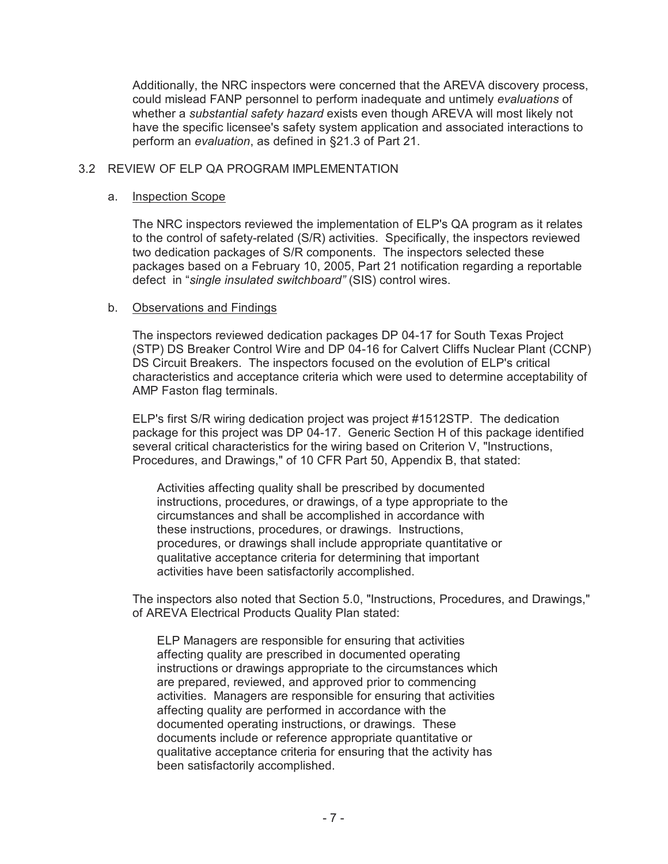Additionally, the NRC inspectors were concerned that the AREVA discovery process, could mislead FANP personnel to perform inadequate and untimely *evaluations* of whether a *substantial safety hazard* exists even though AREVA will most likely not have the specific licensee's safety system application and associated interactions to perform an *evaluation*, as defined in §21.3 of Part 21.

# 3.2 REVIEW OF ELP QA PROGRAM IMPLEMENTATION

#### a. Inspection Scope

The NRC inspectors reviewed the implementation of ELP's QA program as it relates to the control of safety-related (S/R) activities. Specifically, the inspectors reviewed two dedication packages of S/R components. The inspectors selected these packages based on a February 10, 2005, Part 21 notification regarding a reportable defect in "*single insulated switchboard"* (SIS) control wires.

#### b. Observations and Findings

The inspectors reviewed dedication packages DP 04-17 for South Texas Project (STP) DS Breaker Control Wire and DP 04-16 for Calvert Cliffs Nuclear Plant (CCNP) DS Circuit Breakers. The inspectors focused on the evolution of ELP's critical characteristics and acceptance criteria which were used to determine acceptability of AMP Faston flag terminals.

ELP's first S/R wiring dedication project was project #1512STP. The dedication package for this project was DP 04-17. Generic Section H of this package identified several critical characteristics for the wiring based on Criterion V, "Instructions, Procedures, and Drawings," of 10 CFR Part 50, Appendix B, that stated:

Activities affecting quality shall be prescribed by documented instructions, procedures, or drawings, of a type appropriate to the circumstances and shall be accomplished in accordance with these instructions, procedures, or drawings. Instructions, procedures, or drawings shall include appropriate quantitative or qualitative acceptance criteria for determining that important activities have been satisfactorily accomplished.

The inspectors also noted that Section 5.0, "Instructions, Procedures, and Drawings," of AREVA Electrical Products Quality Plan stated:

ELP Managers are responsible for ensuring that activities affecting quality are prescribed in documented operating instructions or drawings appropriate to the circumstances which are prepared, reviewed, and approved prior to commencing activities. Managers are responsible for ensuring that activities affecting quality are performed in accordance with the documented operating instructions, or drawings. These documents include or reference appropriate quantitative or qualitative acceptance criteria for ensuring that the activity has been satisfactorily accomplished.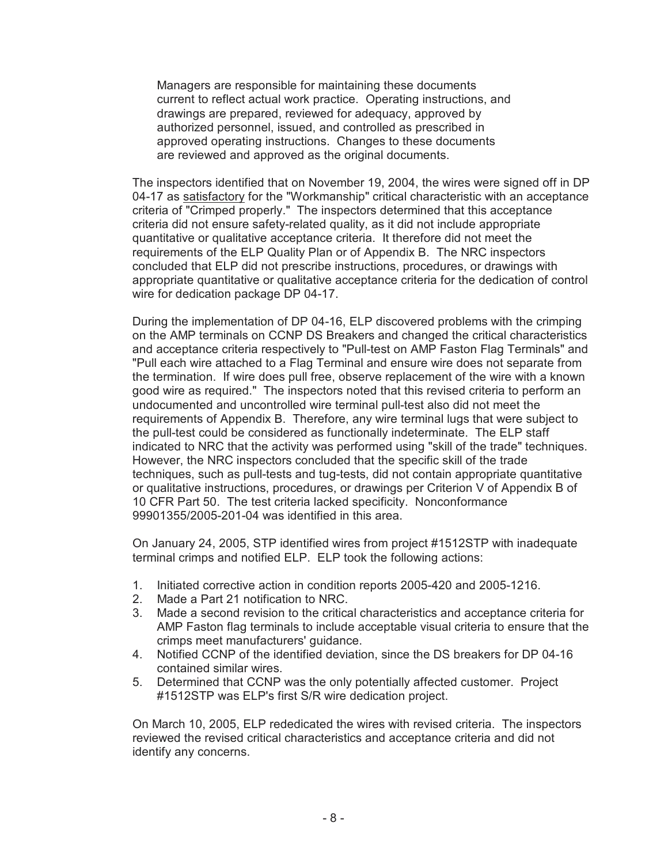Managers are responsible for maintaining these documents current to reflect actual work practice. Operating instructions, and drawings are prepared, reviewed for adequacy, approved by authorized personnel, issued, and controlled as prescribed in approved operating instructions. Changes to these documents are reviewed and approved as the original documents.

The inspectors identified that on November 19, 2004, the wires were signed off in DP 04-17 as satisfactory for the "Workmanship" critical characteristic with an acceptance criteria of "Crimped properly." The inspectors determined that this acceptance criteria did not ensure safety-related quality, as it did not include appropriate quantitative or qualitative acceptance criteria. It therefore did not meet the requirements of the ELP Quality Plan or of Appendix B. The NRC inspectors concluded that ELP did not prescribe instructions, procedures, or drawings with appropriate quantitative or qualitative acceptance criteria for the dedication of control wire for dedication package DP 04-17.

During the implementation of DP 04-16, ELP discovered problems with the crimping on the AMP terminals on CCNP DS Breakers and changed the critical characteristics and acceptance criteria respectively to "Pull-test on AMP Faston Flag Terminals" and "Pull each wire attached to a Flag Terminal and ensure wire does not separate from the termination. If wire does pull free, observe replacement of the wire with a known good wire as required." The inspectors noted that this revised criteria to perform an undocumented and uncontrolled wire terminal pull-test also did not meet the requirements of Appendix B. Therefore, any wire terminal lugs that were subject to the pull-test could be considered as functionally indeterminate. The ELP staff indicated to NRC that the activity was performed using "skill of the trade" techniques. However, the NRC inspectors concluded that the specific skill of the trade techniques, such as pull-tests and tug-tests, did not contain appropriate quantitative or qualitative instructions, procedures, or drawings per Criterion V of Appendix B of 10 CFR Part 50. The test criteria lacked specificity. Nonconformance 99901355/2005-201-04 was identified in this area.

On January 24, 2005, STP identified wires from project #1512STP with inadequate terminal crimps and notified ELP. ELP took the following actions:

- 1. Initiated corrective action in condition reports 2005-420 and 2005-1216.
- 2. Made a Part 21 notification to NRC.
- 3. Made a second revision to the critical characteristics and acceptance criteria for AMP Faston flag terminals to include acceptable visual criteria to ensure that the crimps meet manufacturers' guidance.
- 4. Notified CCNP of the identified deviation, since the DS breakers for DP 04-16 contained similar wires.
- 5. Determined that CCNP was the only potentially affected customer. Project #1512STP was ELP's first S/R wire dedication project.

On March 10, 2005, ELP rededicated the wires with revised criteria. The inspectors reviewed the revised critical characteristics and acceptance criteria and did not identify any concerns.